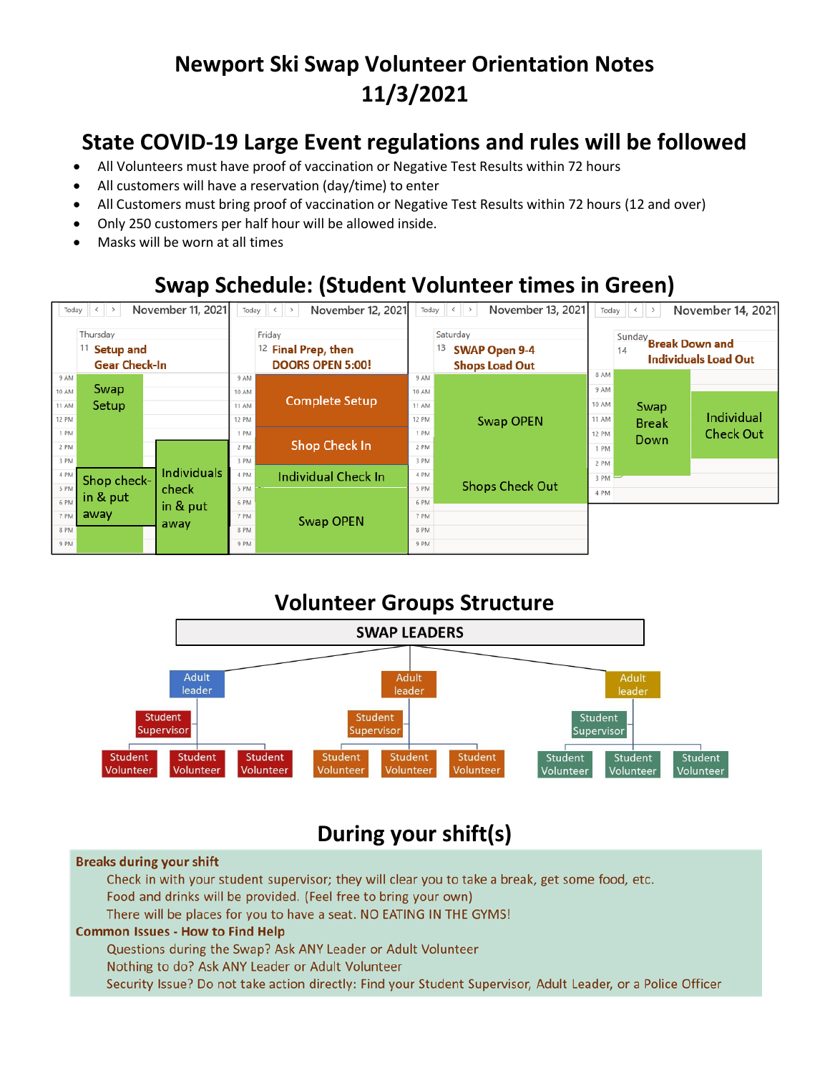# **Newport Ski Swap Volunteer Orientation Notes 11/3/2021**

## **State COVID-19 Large Event regulations and rules will be followed**

- All Volunteers must have proof of vaccination or Negative Test Results within 72 hours
- All customers will have a reservation (day/time) to enter
- All Customers must bring proof of vaccination or Negative Test Results within 72 hours (12 and over)
- Only 250 customers per half hour will be allowed inside.
- Masks will be worn at all times

## **Swap Schedule: (Student Volunteer times in Green)**





## **During your shift(s)**

#### **Breaks during your shift**

Check in with your student supervisor; they will clear you to take a break, get some food, etc. Food and drinks will be provided. (Feel free to bring your own) There will be places for you to have a seat. NO EATING IN THE GYMS!

### **Common Issues - How to Find Help**

Questions during the Swap? Ask ANY Leader or Adult Volunteer

Nothing to do? Ask ANY Leader or Adult Volunteer

Security Issue? Do not take action directly: Find your Student Supervisor, Adult Leader, or a Police Officer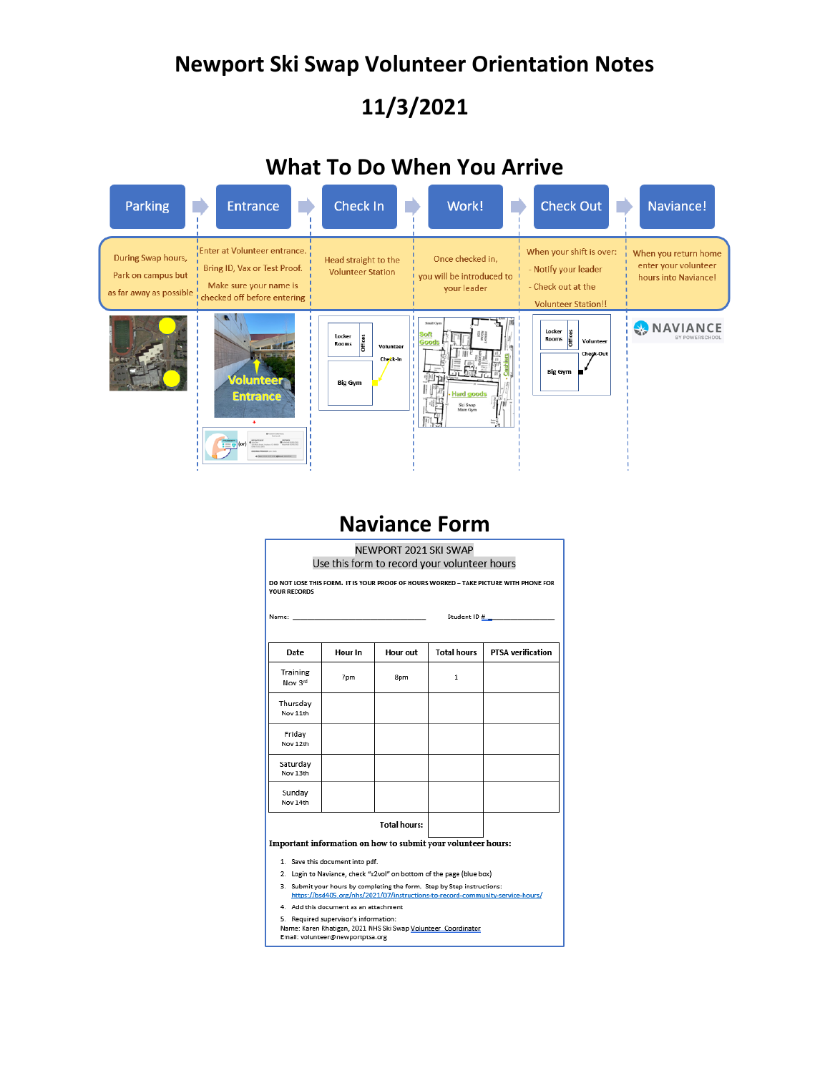# **Newport Ski Swap Volunteer Orientation Notes 11/3/2021**

## **What To Do When You Arrive**



## **Naviance Form**

| NEWPORT 2021 SKI SWAP<br>Use this form to record your volunteer hours                                        |         |                 |                    |                          |  |
|--------------------------------------------------------------------------------------------------------------|---------|-----------------|--------------------|--------------------------|--|
| DO NOT LOSE THIS FORM. IT IS YOUR PROOF OF HOURS WORKED - TAKE PICTURE WITH PHONE FOR<br><b>YOUR RECORDS</b> |         |                 |                    |                          |  |
|                                                                                                              |         |                 |                    |                          |  |
| Date                                                                                                         | Hour In | <b>Hour out</b> | <b>Total hours</b> | <b>PTSA</b> verification |  |
| Training<br>Nov 3rd                                                                                          | 7pm     | 8pm             | 1                  |                          |  |
| Thursday<br>Nov 11th                                                                                         |         |                 |                    |                          |  |
| Friday<br>Nov 12th                                                                                           |         |                 |                    |                          |  |
| Saturdav<br>Nov 13th                                                                                         |         |                 |                    |                          |  |
| Sundav<br>Nov 14th                                                                                           |         |                 |                    |                          |  |
| <b>Total hours:</b><br>Important information on how to submit your volunteer hours:                          |         |                 |                    |                          |  |
| 1. Save this document into pdf.                                                                              |         |                 |                    |                          |  |

- 2. Login to Naviance, check "x2vol" on bottom of the page (blue box)
- 3. Submit your hours by completing the form. Step by Step instructions:<br>https://bsd405.org/nhs/2021/07/instructions-to-record-community-service-hours/
- 4. Add this document as an attachment
- 5. Required supervisor's information
- Name: Karen Rhatigan, 2021 NHS Ski Swap <u>Volunteer Coordinator</u><br>Email: volunteer@newportptsa.org
-